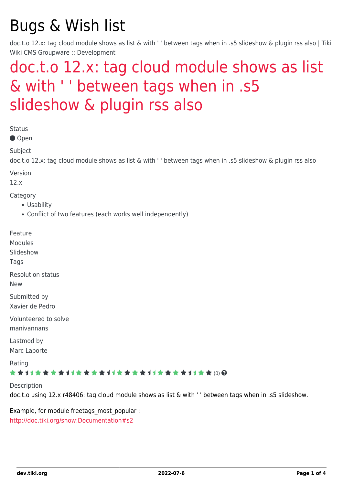# Bugs & Wish list

doc.t.o 12.x: tag cloud module shows as list & with ' ' between tags when in .s5 slideshow & plugin rss also | Tiki Wiki CMS Groupware :: Development

## [doc.t.o 12.x: tag cloud module shows as list](https://dev.tiki.org/item4915-doc-t-o-12-x-tag-cloud-module-shows-as-list-with-nbsp-between-tags-when-in-s5-slideshow-plugin-rss-also) [& with ' ' between tags when in .s5](https://dev.tiki.org/item4915-doc-t-o-12-x-tag-cloud-module-shows-as-list-with-nbsp-between-tags-when-in-s5-slideshow-plugin-rss-also) [slideshow & plugin rss also](https://dev.tiki.org/item4915-doc-t-o-12-x-tag-cloud-module-shows-as-list-with-nbsp-between-tags-when-in-s5-slideshow-plugin-rss-also)

Status

● Open

Subject

doc.t.o 12.x: tag cloud module shows as list & with ' ' between tags when in .s5 slideshow & plugin rss also

Version

12.x

Category

- Usability
- Conflict of two features (each works well independently)

Feature

Modules

Slideshow

**Tags** 

Resolution status

New

Submitted by Xavier de Pedro

Volunteered to solve manivannans

Lastmod by Marc Laporte

Rating

#### ★★→★★★★→★★★★★→★★★★★★★★★★★★★★ (0) @

Description doc.t.o using 12.x r48406: tag cloud module shows as list & with ' ' between tags when in .s5 slideshow.

Example, for module freetags most popular : <http://doc.tiki.org/show:Documentation#s2>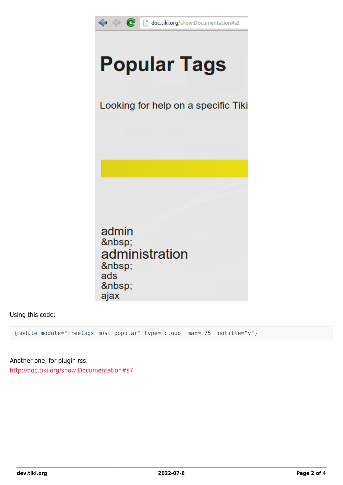

Using this code:

{module module="freetags\_most\_popular" type="cloud" max="75" notitle="y"}

Another one, for plugin rss: <http://doc.tiki.org/show:Documentation#s7>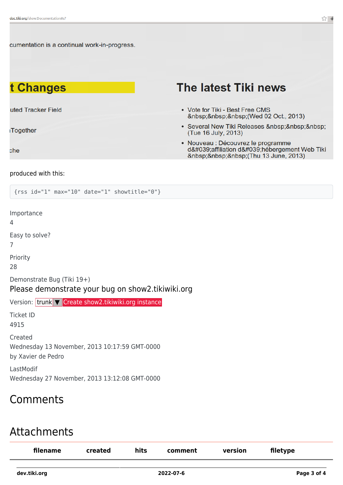cumentation is a continual work-in-progress.

### t Changes

uted Tracker Field

Together

che

### The latest Tiki news

- Vote for Tiki Best Free CMS (Wed 02 Oct., 2013)
- Several New Tiki Releases (Tue 16 July, 2013)
- · Nouveau : Découvrez le programme d'affiliation d'hébergement Web Tiki (Thu 13 June, 2013)

#### produced with this:

{rss id="1" max="10" date="1" showtitle="0"}

Importance 4 Easy to solve? 7 Priority 28 Demonstrate Bug (Tiki 19+) Please demonstrate your bug on show2.tikiwiki.org Version: trunk ▼ [Create show2.tikiwiki.org instance](#page--1-0) Ticket ID 4915 Created Wednesday 13 November, 2013 10:17:59 GMT-0000 by Xavier de Pedro LastModif Wednesday 27 November, 2013 13:12:08 GMT-0000

#### Comments

#### Attachments

| filename     | created | hits | comment   | version | filetype    |
|--------------|---------|------|-----------|---------|-------------|
| dev.tiki.org |         |      | 2022-07-6 |         | Page 3 of 4 |